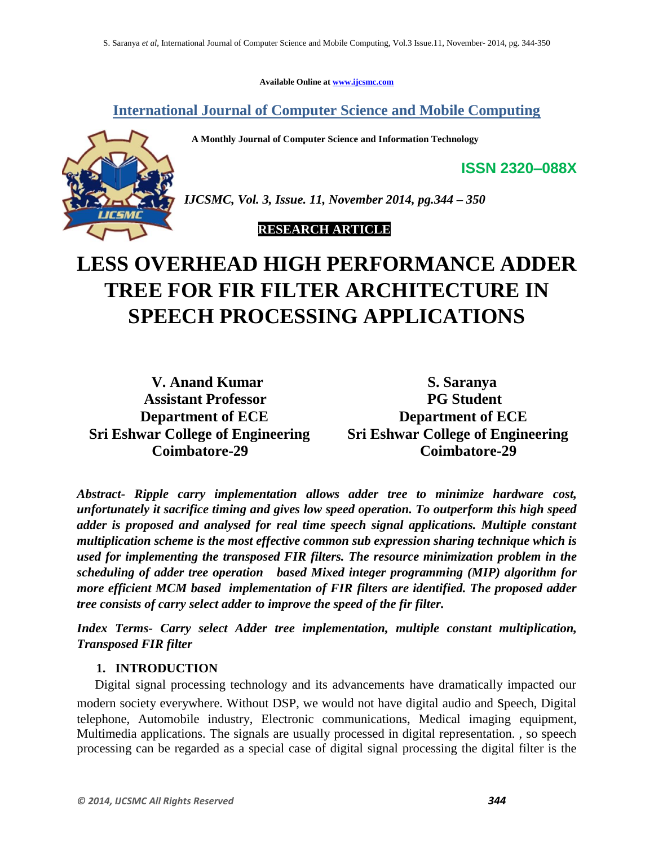**Available Online at www.ijcsmc.com**

**International Journal of Computer Science and Mobile Computing**

 **A Monthly Journal of Computer Science and Information Technology**



*IJCSMC, Vol. 3, Issue. 11, November 2014, pg.344 – 350*

 **RESEARCH ARTICLE**

# **LESS OVERHEAD HIGH PERFORMANCE ADDER TREE FOR FIR FILTER ARCHITECTURE IN SPEECH PROCESSING APPLICATIONS**

 **V. Anand Kumar S. Saranya Assistant Professor PG Student Sri Eshwar College of Engineering Sri Eshwar College of Engineering**

**Department of ECE** Department of ECE  **Coimbatore-29 Coimbatore-29**

**ISSN 2320–088X**

*Abstract- Ripple carry implementation allows adder tree to minimize hardware cost, unfortunately it sacrifice timing and gives low speed operation. To outperform this high speed adder is proposed and analysed for real time speech signal applications. Multiple constant multiplication scheme is the most effective common sub expression sharing technique which is used for implementing the transposed FIR filters. The resource minimization problem in the scheduling of adder tree operation based Mixed integer programming (MIP) algorithm for more efficient MCM based implementation of FIR filters are identified. The proposed adder tree consists of carry select adder to improve the speed of the fir filter.*

*Index Terms- Carry select Adder tree implementation, multiple constant multiplication, Transposed FIR filter*

## **1. INTRODUCTION**

 Digital signal processing technology and its advancements have dramatically impacted our modern society everywhere. Without DSP, we would not have digital audio and speech, Digital telephone, Automobile industry, Electronic communications, Medical imaging equipment, Multimedia applications. The signals are usually processed in digital representation. , so speech processing can be regarded as a special case of digital signal processing the digital filter is the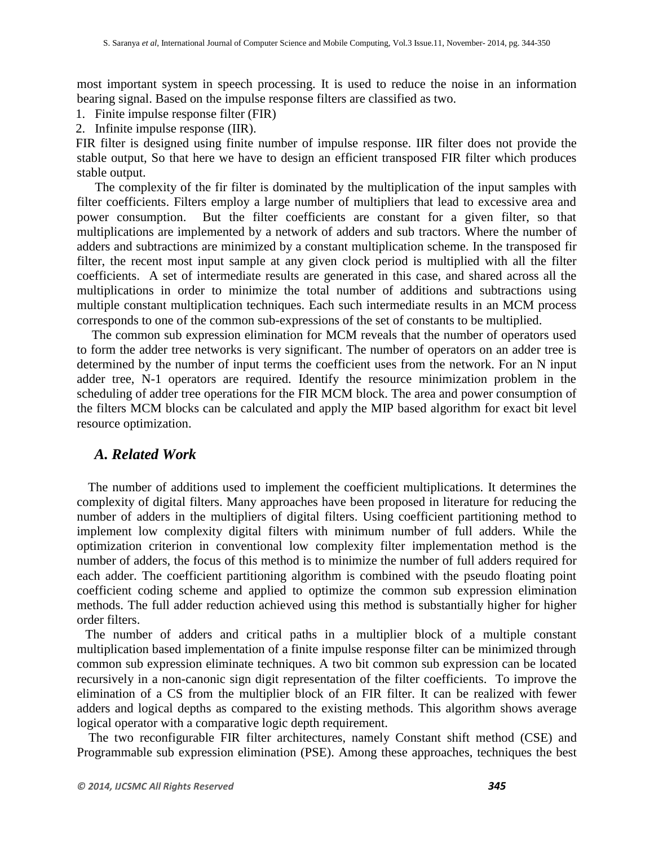most important system in speech processing. It is used to reduce the noise in an information bearing signal. Based on the impulse response filters are classified as two.

- 1. Finite impulse response filter (FIR)
- 2. Infinite impulse response (IIR).

 FIR filter is designed using finite number of impulse response. IIR filter does not provide the stable output, So that here we have to design an efficient transposed FIR filter which produces stable output.

 The complexity of the fir filter is dominated by the multiplication of the input samples with filter coefficients. Filters employ a large number of multipliers that lead to excessive area and power consumption. But the filter coefficients are constant for a given filter, so that multiplications are implemented by a network of adders and sub tractors. Where the number of adders and subtractions are minimized by a constant multiplication scheme. In the transposed fir filter, the recent most input sample at any given clock period is multiplied with all the filter coefficients. A set of intermediate results are generated in this case, and shared across all the multiplications in order to minimize the total number of additions and subtractions using multiple constant multiplication techniques. Each such intermediate results in an MCM process corresponds to one of the common sub-expressions of the set of constants to be multiplied.

 The common sub expression elimination for MCM reveals that the number of operators used to form the adder tree networks is very significant. The number of operators on an adder tree is determined by the number of input terms the coefficient uses from the network. For an N input adder tree, N-1 operators are required. Identify the resource minimization problem in the scheduling of adder tree operations for the FIR MCM block. The area and power consumption of the filters MCM blocks can be calculated and apply the MIP based algorithm for exact bit level resource optimization.

#### *A. Related Work*

 The number of additions used to implement the coefficient multiplications. It determines the complexity of digital filters. Many approaches have been proposed in literature for reducing the number of adders in the multipliers of digital filters. Using coefficient partitioning method to implement low complexity digital filters with minimum number of full adders. While the optimization criterion in conventional low complexity filter implementation method is the number of adders, the focus of this method is to minimize the number of full adders required for each adder. The coefficient partitioning algorithm is combined with the pseudo floating point coefficient coding scheme and applied to optimize the common sub expression elimination methods. The full adder reduction achieved using this method is substantially higher for higher order filters.

 The number of adders and critical paths in a multiplier block of a multiple constant multiplication based implementation of a finite impulse response filter can be minimized through common sub expression eliminate techniques. A two bit common sub expression can be located recursively in a non-canonic sign digit representation of the filter coefficients. To improve the elimination of a CS from the multiplier block of an FIR filter. It can be realized with fewer adders and logical depths as compared to the existing methods. This algorithm shows average logical operator with a comparative logic depth requirement.

 The two reconfigurable FIR filter architectures, namely Constant shift method (CSE) and Programmable sub expression elimination (PSE). Among these approaches, techniques the best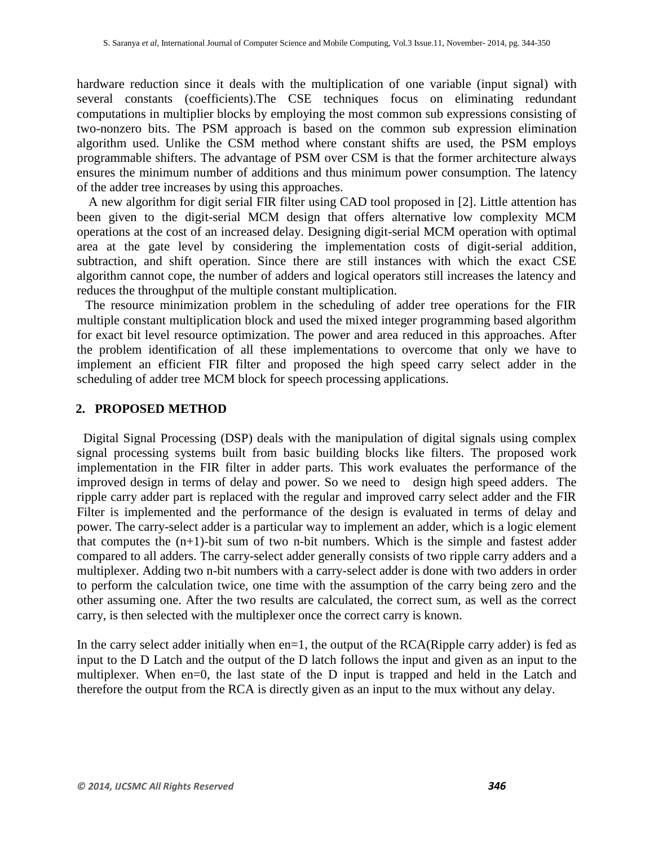hardware reduction since it deals with the multiplication of one variable (input signal) with several constants (coefficients).The CSE techniques focus on eliminating redundant computations in multiplier blocks by employing the most common sub expressions consisting of two-nonzero bits. The PSM approach is based on the common sub expression elimination algorithm used. Unlike the CSM method where constant shifts are used, the PSM employs programmable shifters. The advantage of PSM over CSM is that the former architecture always ensures the minimum number of additions and thus minimum power consumption. The latency of the adder tree increases by using this approaches.

 A new algorithm for digit serial FIR filter using CAD tool proposed in [2]. Little attention has been given to the digit-serial MCM design that offers alternative low complexity MCM operations at the cost of an increased delay. Designing digit-serial MCM operation with optimal area at the gate level by considering the implementation costs of digit-serial addition, subtraction, and shift operation. Since there are still instances with which the exact CSE algorithm cannot cope, the number of adders and logical operators still increases the latency and reduces the throughput of the multiple constant multiplication.

 The resource minimization problem in the scheduling of adder tree operations for the FIR multiple constant multiplication block and used the mixed integer programming based algorithm for exact bit level resource optimization. The power and area reduced in this approaches. After the problem identification of all these implementations to overcome that only we have to implement an efficient FIR filter and proposed the high speed carry select adder in the scheduling of adder tree MCM block for speech processing applications.

#### **2. PROPOSED METHOD**

 Digital Signal Processing (DSP) deals with the manipulation of digital signals using complex signal processing systems built from basic building blocks like filters. The proposed work implementation in the FIR filter in adder parts. This work evaluates the performance of the improved design in terms of delay and power. So we need to design high speed adders. The ripple carry adder part is replaced with the regular and improved carry select adder and the FIR Filter is implemented and the performance of the design is evaluated in terms of delay and power. The carry-select adder is a particular way to implement an adder, which is a logic element that computes the  $(n+1)$ -bit sum of two n-bit numbers. Which is the simple and fastest adder compared to all adders. The carry-select adder generally consists of two ripple carry adders and a multiplexer. Adding two n-bit numbers with a carry-select adder is done with two adders in order to perform the calculation twice, one time with the assumption of the carry being zero and the other assuming one. After the two results are calculated, the correct sum, as well as the correct carry, is then selected with the multiplexer once the correct carry is known.

In the carry select adder initially when  $en=1$ , the output of the  $RCA(Ripple carry adder)$  is fed as input to the D Latch and the output of the D latch follows the input and given as an input to the multiplexer. When en=0, the last state of the D input is trapped and held in the Latch and therefore the output from the RCA is directly given as an input to the mux without any delay.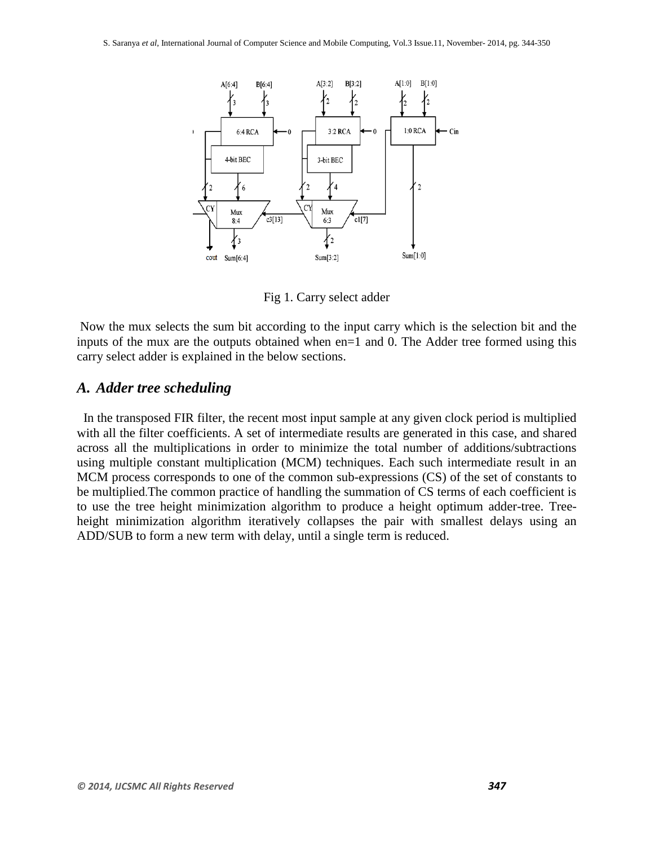

Fig 1. Carry select adder

Now the mux selects the sum bit according to the input carry which is the selection bit and the inputs of the mux are the outputs obtained when en=1 and 0. The Adder tree formed using this carry select adder is explained in the below sections.

#### *A. Adder tree scheduling*

 In the transposed FIR filter, the recent most input sample at any given clock period is multiplied with all the filter coefficients. A set of intermediate results are generated in this case, and shared across all the multiplications in order to minimize the total number of additions/subtractions using multiple constant multiplication (MCM) techniques. Each such intermediate result in an MCM process corresponds to one of the common sub-expressions (CS) of the set of constants to be multiplied.The common practice of handling the summation of CS terms of each coefficient is to use the tree height minimization algorithm to produce a height optimum adder-tree. Treeheight minimization algorithm iteratively collapses the pair with smallest delays using an ADD/SUB to form a new term with delay, until a single term is reduced.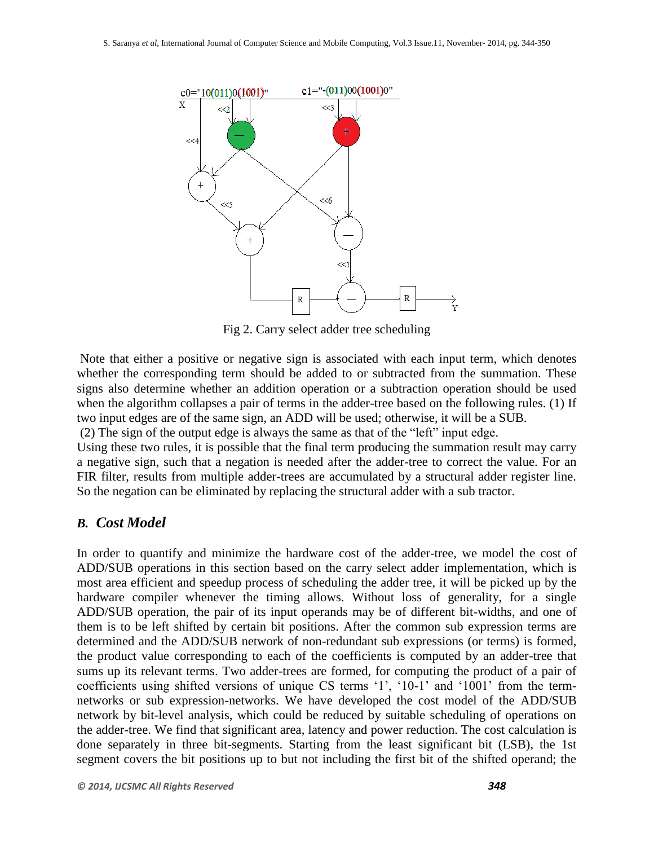

Fig 2. Carry select adder tree scheduling

Note that either a positive or negative sign is associated with each input term, which denotes whether the corresponding term should be added to or subtracted from the summation. These signs also determine whether an addition operation or a subtraction operation should be used when the algorithm collapses a pair of terms in the adder-tree based on the following rules. (1) If two input edges are of the same sign, an ADD will be used; otherwise, it will be a SUB.

(2) The sign of the output edge is always the same as that of the "left" input edge.

Using these two rules, it is possible that the final term producing the summation result may carry a negative sign, such that a negation is needed after the adder-tree to correct the value. For an FIR filter, results from multiple adder-trees are accumulated by a structural adder register line. So the negation can be eliminated by replacing the structural adder with a sub tractor.

## *B. Cost Model*

In order to quantify and minimize the hardware cost of the adder-tree, we model the cost of ADD/SUB operations in this section based on the carry select adder implementation, which is most area efficient and speedup process of scheduling the adder tree, it will be picked up by the hardware compiler whenever the timing allows. Without loss of generality, for a single ADD/SUB operation, the pair of its input operands may be of different bit-widths, and one of them is to be left shifted by certain bit positions. After the common sub expression terms are determined and the ADD/SUB network of non-redundant sub expressions (or terms) is formed, the product value corresponding to each of the coefficients is computed by an adder-tree that sums up its relevant terms. Two adder-trees are formed, for computing the product of a pair of coefficients using shifted versions of unique CS terms '1', '10-1' and '1001' from the termnetworks or sub expression-networks. We have developed the cost model of the ADD/SUB network by bit-level analysis, which could be reduced by suitable scheduling of operations on the adder-tree. We find that significant area, latency and power reduction. The cost calculation is done separately in three bit-segments. Starting from the least significant bit (LSB), the 1st segment covers the bit positions up to but not including the first bit of the shifted operand; the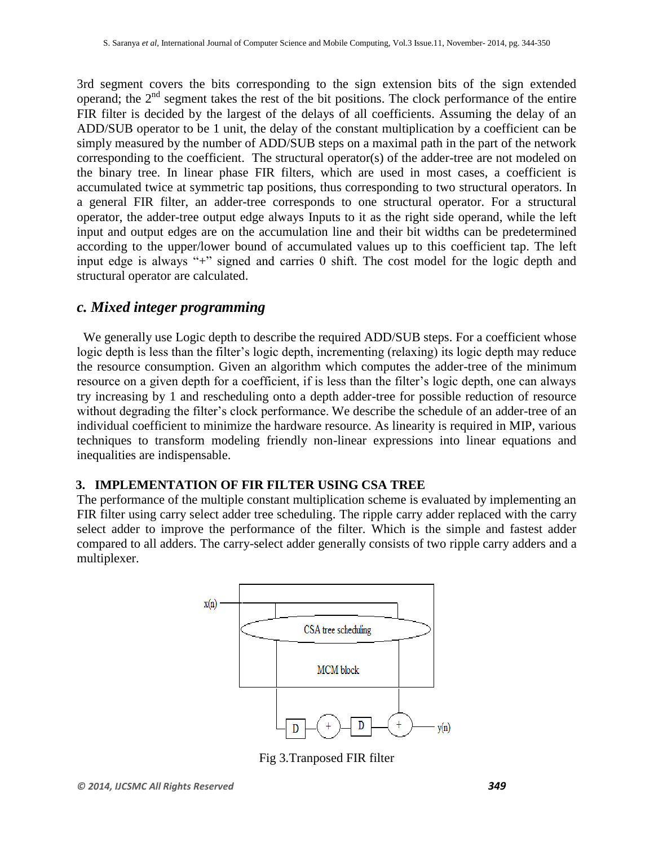3rd segment covers the bits corresponding to the sign extension bits of the sign extended operand; the  $2<sup>nd</sup>$  segment takes the rest of the bit positions. The clock performance of the entire FIR filter is decided by the largest of the delays of all coefficients. Assuming the delay of an ADD/SUB operator to be 1 unit, the delay of the constant multiplication by a coefficient can be simply measured by the number of ADD/SUB steps on a maximal path in the part of the network corresponding to the coefficient. The structural operator(s) of the adder-tree are not modeled on the binary tree. In linear phase FIR filters, which are used in most cases, a coefficient is accumulated twice at symmetric tap positions, thus corresponding to two structural operators. In a general FIR filter, an adder-tree corresponds to one structural operator. For a structural operator, the adder-tree output edge always Inputs to it as the right side operand, while the left input and output edges are on the accumulation line and their bit widths can be predetermined according to the upper/lower bound of accumulated values up to this coefficient tap. The left input edge is always "+" signed and carries 0 shift. The cost model for the logic depth and structural operator are calculated.

# *c. Mixed integer programming*

We generally use Logic depth to describe the required ADD/SUB steps. For a coefficient whose logic depth is less than the filter's logic depth, incrementing (relaxing) its logic depth may reduce the resource consumption. Given an algorithm which computes the adder-tree of the minimum resource on a given depth for a coefficient, if is less than the filter's logic depth, one can always try increasing by 1 and rescheduling onto a depth adder-tree for possible reduction of resource without degrading the filter's clock performance. We describe the schedule of an adder-tree of an individual coefficient to minimize the hardware resource. As linearity is required in MIP, various techniques to transform modeling friendly non-linear expressions into linear equations and inequalities are indispensable.

## **3. IMPLEMENTATION OF FIR FILTER USING CSA TREE**

The performance of the multiple constant multiplication scheme is evaluated by implementing an FIR filter using carry select adder tree scheduling. The ripple carry adder replaced with the carry select adder to improve the performance of the filter. Which is the simple and fastest adder compared to all adders. The carry-select adder generally consists of two ripple carry adders and a multiplexer.



Fig 3.Tranposed FIR filter